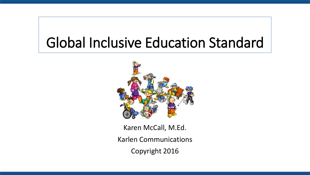#### Global Inclusive Education Standard



Karen McCall, M.Ed. Karlen Communications Copyright 2016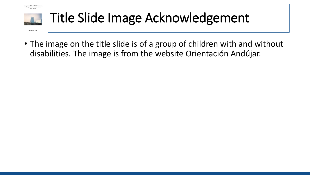

#### Title Slide Image Acknowledgement

• The image on the title slide is of a group of children with and without disabilities. The image is from the website Orientación Andújar.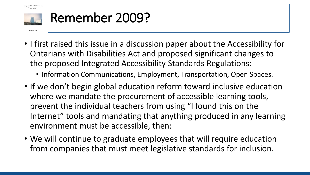

#### Remember 2009?

- I first raised this issue in a discussion paper about the Accessibility for Ontarians with Disabilities Act and proposed significant changes to the proposed Integrated Accessibility Standards Regulations:
	- Information Communications, Employment, Transportation, Open Spaces.
- If we don't begin global education reform toward inclusive education where we mandate the procurement of accessible learning tools, prevent the individual teachers from using "I found this on the Internet" tools and mandating that anything produced in any learning environment must be accessible, then:
- We will continue to graduate employees that will require education from companies that must meet legislative standards for inclusion.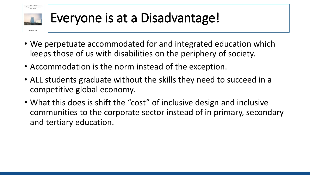

#### Everyone is at a Disadvantage!

- We perpetuate accommodated for and integrated education which keeps those of us with disabilities on the periphery of society.
- Accommodation is the norm instead of the exception.
- ALL students graduate without the skills they need to succeed in a competitive global economy.
- What this does is shift the "cost" of inclusive design and inclusive communities to the corporate sector instead of in primary, secondary and tertiary education.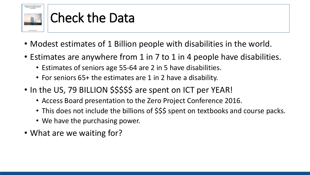

#### Check the Data

- Modest estimates of 1 Billion people with disabilities in the world.
- Estimates are anywhere from 1 in 7 to 1 in 4 people have disabilities.
	- Estimates of seniors age 55-64 are 2 in 5 have disabilities.
	- For seniors 65+ the estimates are 1 in 2 have a disability.
- In the US, 79 BILLION \$\$\$\$\$ are spent on ICT per YEAR!
	- Access Board presentation to the Zero Project Conference 2016.
	- This does not include the billions of \$\$\$ spent on textbooks and course packs.
	- We have the purchasing power.
- What are we waiting for?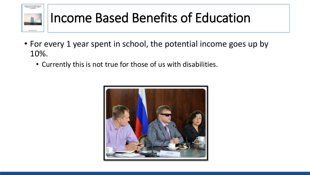

#### Income Based Benefits of Education

- For every 1 year spent in school, the potential income goes up by 10%.
	- Currently this is not true for those of us with disabilities.

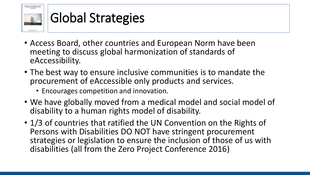

#### Global Strategies

- Access Board, other countries and European Norm have been meeting to discuss global harmonization of standards of eAccessibility.
- The best way to ensure inclusive communities is to mandate the procurement of eAccessible only products and services.
	- Encourages competition and innovation.
- We have globally moved from a medical model and social model of disability to a human rights model of disability.
- 1/3 of countries that ratified the UN Convention on the Rights of Persons with Disabilities DO NOT have stringent procurement strategies or legislation to ensure the inclusion of those of us with disabilities (all from the Zero Project Conference 2016)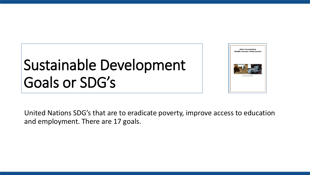## Sustainable Development Goals or SDG's



United Nations SDG's that are to eradicate poverty, improve access to education and employment. There are 17 goals.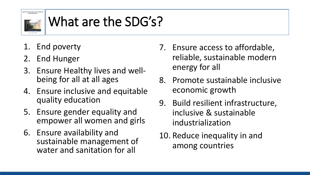

#### What are the SDG's?

- 1. End poverty
- 2. End Hunger
- 3. Ensure Healthy lives and wellbeing for all at all ages
- 4. Ensure inclusive and equitable quality education
- 5. Ensure gender equality and empower all women and girls
- 6. Ensure availability and sustainable management of water and sanitation for all
- 7. Ensure access to affordable, reliable, sustainable modern energy for all
- 8. Promote sustainable inclusive economic growth
- 9. Build resilient infrastructure, inclusive & sustainable industrialization
- 10. Reduce inequality in and among countries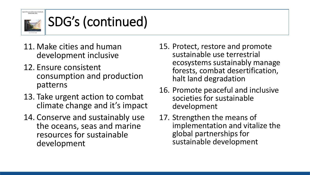

### SDG's (continued)

- 11. Make cities and human development inclusive
- 12. Ensure consistent consumption and production patterns
- 13. Take urgent action to combat climate change and it's impact
- 14. Conserve and sustainably use the oceans, seas and marine resources for sustainable development
- 15. Protect, restore and promote sustainable use terrestrial ecosystems sustainably manage forests, combat desertification, halt land degradation
- 16. Promote peaceful and inclusive societies for sustainable development
- 17. Strengthen the means of implementation and vitalize the global partnerships for sustainable development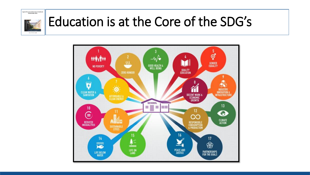

#### Education is at the Core of the SDG's

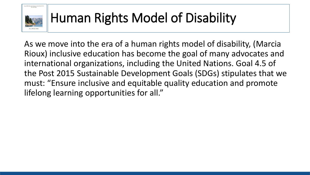

#### Human Rights Model of Disability

As we move into the era of a human rights model of disability, (Marcia Rioux) inclusive education has become the goal of many advocates and international organizations, including the United Nations. Goal 4.5 of the Post 2015 Sustainable Development Goals (SDGs) stipulates that we must: "Ensure inclusive and equitable quality education and promote lifelong learning opportunities for all."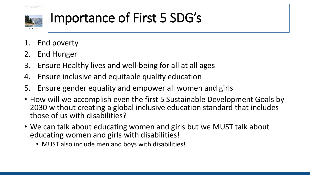

#### Importance of First 5 SDG's

- 1. End poverty
- 2. End Hunger
- 3. Ensure Healthy lives and well-being for all at all ages
- 4. Ensure inclusive and equitable quality education
- 5. Ensure gender equality and empower all women and girls
- How will we accomplish even the first 5 Sustainable Development Goals by 2030 without creating a global inclusive education standard that includes those of us with disabilities?
- We can talk about educating women and girls but we MUST talk about educating women and girls with disabilities!
	- MUST also include men and boys with disabilities!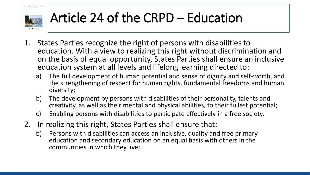ssible Document Besign Using Word 2010<br>An Overview

#### Article 24 of the CRPD – Education

- 1. States Parties recognize the right of persons with disabilities to education. With a view to realizing this right without discrimination and on the basis of equal opportunity, States Parties shall ensure an inclusive education system at all levels and lifelong learning directed to:
	- a) The full development of human potential and sense of dignity and self-worth, and the strengthening of respect for human rights, fundamental freedoms and human diversity;
	- b) The development by persons with disabilities of their personality, talents and creativity, as well as their mental and physical abilities, to their fullest potential;
	- c) Enabling persons with disabilities to participate effectively in a free society.
- 2. In realizing this right, States Parties shall ensure that:
	- b) Persons with disabilities can access an inclusive, quality and free primary education and secondary education on an equal basis with others in the communities in which they live;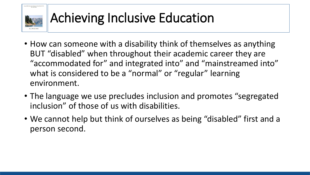

#### Achieving Inclusive Education

- How can someone with a disability think of themselves as anything BUT "disabled" when throughout their academic career they are "accommodated for" and integrated into" and "mainstreamed into" what is considered to be a "normal" or "regular" learning environment.
- The language we use precludes inclusion and promotes "segregated inclusion" of those of us with disabilities.
- We cannot help but think of ourselves as being "disabled" first and a person second.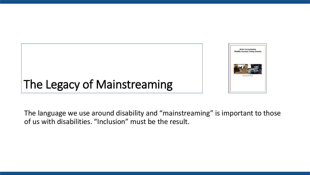

#### The Legacy of Mainstreaming

The language we use around disability and "mainstreaming" is important to those of us with disabilities. "Inclusion" must be the result.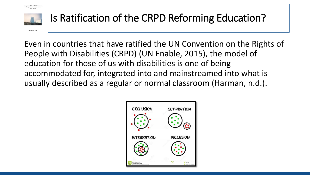

#### Is Ratification of the CRPD Reforming Education?

Even in countries that have ratified the UN Convention on the Rights of People with Disabilities (CRPD) (UN Enable, 2015), the model of education for those of us with disabilities is one of being accommodated for, integrated into and mainstreamed into what is usually described as a regular or normal classroom (Harman, n.d.).

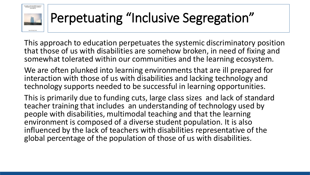

#### Perpetuating "Inclusive Segregation"

This approach to education perpetuates the systemic discriminatory position that those of us with disabilities are somehow broken, in need of fixing and somewhat tolerated within our communities and the learning ecosystem.

We are often plunked into learning environments that are ill prepared for interaction with those of us with disabilities and lacking technology and technology supports needed to be successful in learning opportunities.

This is primarily due to funding cuts, large class sizes and lack of standard teacher training that includes an understanding of technology used by people with disabilities, multimodal teaching and that the learning environment is composed of a diverse student population. It is also influenced by the lack of teachers with disabilities representative of the global percentage of the population of those of us with disabilities.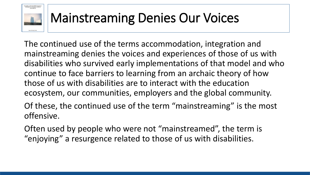

#### Mainstreaming Denies Our Voices

The continued use of the terms accommodation, integration and mainstreaming denies the voices and experiences of those of us with disabilities who survived early implementations of that model and who continue to face barriers to learning from an archaic theory of how those of us with disabilities are to interact with the education ecosystem, our communities, employers and the global community.

Of these, the continued use of the term "mainstreaming" is the most offensive.

Often used by people who were not "mainstreamed", the term is "enjoying" a resurgence related to those of us with disabilities.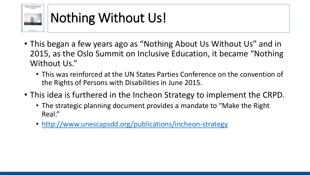

#### Nothing Without Us!

- This began a few years ago as "Nothing About Us Without Us" and in 2015, as the Oslo Summit on Inclusive Education, it became "Nothing Without Us."
	- This was reinforced at the UN States Parties Conference on the convention of the Rights of Persons with Disabilities in June 2015.
- This idea is furthered in the Incheon Strategy to implement the CRPD.
	- The strategic planning document provides a mandate to "Make the Right Real."
	- <http://www.unescapsdd.org/publications/incheon-strategy>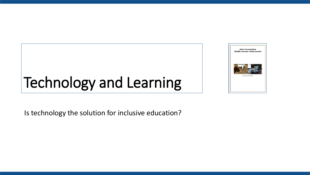## Technology and Learning



Is technology the solution for inclusive education?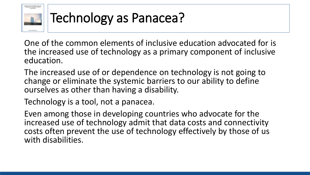

#### Technology as Panacea?

One of the common elements of inclusive education advocated for is the increased use of technology as a primary component of inclusive education.

The increased use of or dependence on technology is not going to change or eliminate the systemic barriers to our ability to define ourselves as other than having a disability.

Technology is a tool, not a panacea.

Even among those in developing countries who advocate for the increased use of technology admit that data costs and connectivity costs often prevent the use of technology effectively by those of us with disabilities.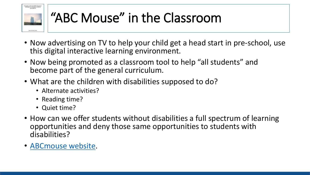

#### "ABC Mouse" in the Classroom

- Now advertising on TV to help your child get a head start in pre-school, use this digital interactive learning environment.
- Now being promoted as a classroom tool to help "all students" and become part of the general curriculum.
- What are the children with disabilities supposed to do?
	- Alternate activities?
	- Reading time?
	- Quiet time?
- How can we offer students without disabilities a full spectrum of learning opportunities and deny those same opportunities to students with disabilities?
- [ABCmouse website.](https://www.abcmouse.com/)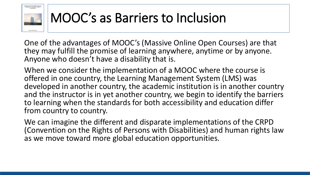

#### MOOC's as Barriers to Inclusion

One of the advantages of MOOC's (Massive Online Open Courses) are that they may fulfill the promise of learning anywhere, anytime or by anyone. Anyone who doesn't have a disability that is.

When we consider the implementation of a MOOC where the course is offered in one country, the Learning Management System (LMS) was developed in another country, the academic institution is in another country and the instructor is in yet another country, we begin to identify the barriers to learning when the standards for both accessibility and education differ from country to country.

We can imagine the different and disparate implementations of the CRPD (Convention on the Rights of Persons with Disabilities) and human rights law as we move toward more global education opportunities.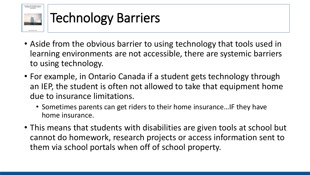

#### Technology Barriers

- Aside from the obvious barrier to using technology that tools used in learning environments are not accessible, there are systemic barriers to using technology.
- For example, in Ontario Canada if a student gets technology through an IEP, the student is often not allowed to take that equipment home due to insurance limitations.
	- Sometimes parents can get riders to their home insurance…IF they have home insurance.
- This means that students with disabilities are given tools at school but cannot do homework, research projects or access information sent to them via school portals when off of school property.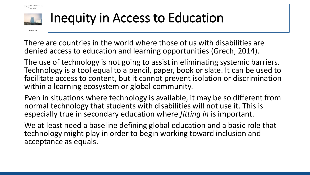# iccessible and Usable PDF Document<br>Techniques for Document Authors<br>Third Edition

#### Inequity in Access to Education

There are countries in the world where those of us with disabilities are denied access to education and learning opportunities (Grech, 2014).

The use of technology is not going to assist in eliminating systemic barriers. Technology is a tool equal to a pencil, paper, book or slate. It can be used to facilitate access to content, but it cannot prevent isolation or discrimination within a learning ecosystem or global community.

Even in situations where technology is available, it may be so different from normal technology that students with disabilities will not use it. This is especially true in secondary education where *fitting in* is important.

We at least need a baseline defining global education and a basic role that technology might play in order to begin working toward inclusion and acceptance as equals.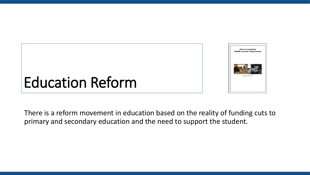

### Education Reform

There is a reform movement in education based on the reality of funding cuts to primary and secondary education and the need to support the student.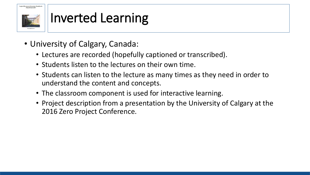

#### Inverted Learning

- University of Calgary, Canada:
	- Lectures are recorded (hopefully captioned or transcribed).
	- Students listen to the lectures on their own time.
	- Students can listen to the lecture as many times as they need in order to understand the content and concepts.
	- The classroom component is used for interactive learning.
	- Project description from a presentation by the University of Calgary at the 2016 Zero Project Conference.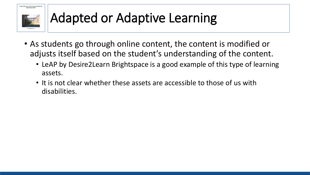PowerPoint 2007

**Logical Document Structure Handboo** 

#### Adapted or Adaptive Learning

- As students go through online content, the content is modified or adjusts itself based on the student's understanding of the content.
	- LeAP by Desire2Learn Brightspace is a good example of this type of learning assets.
	- It is not clear whether these assets are accessible to those of us with disabilities.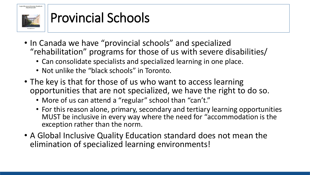.<br>Logical Document Structure Handbook PowerPoint 2007

#### Provincial Schools

- In Canada we have "provincial schools" and specialized "rehabilitation" programs for those of us with severe disabilities/
	- Can consolidate specialists and specialized learning in one place.
	- Not unlike the "black schools" in Toronto.
- The key is that for those of us who want to access learning opportunities that are not specialized, we have the right to do so.
	- More of us can attend a "regular" school than "can't."
	- For this reason alone, primary, secondary and tertiary learning opportunities MUST be inclusive in every way where the need for "accommodation is the exception rather than the norm.
- A Global Inclusive Quality Education standard does not mean the elimination of specialized learning environments!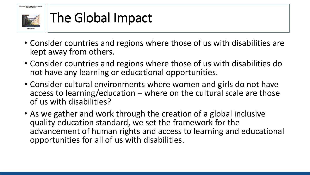

#### The Global Impact

- Consider countries and regions where those of us with disabilities are kept away from others.
- Consider countries and regions where those of us with disabilities do not have any learning or educational opportunities.
- Consider cultural environments where women and girls do not have access to learning/education – where on the cultural scale are those of us with disabilities?
- As we gather and work through the creation of a global inclusive quality education standard, we set the framework for the advancement of human rights and access to learning and educational opportunities for all of us with disabilities.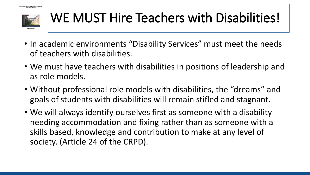

#### WE MUST Hire Teachers with Disabilities!

- In academic environments "Disability Services" must meet the needs of teachers with disabilities.
- We must have teachers with disabilities in positions of leadership and as role models.
- Without professional role models with disabilities, the "dreams" and goals of students with disabilities will remain stifled and stagnant.
- We will always identify ourselves first as someone with a disability needing accommodation and fixing rather than as someone with a skills based, knowledge and contribution to make at any level of society. (Article 24 of the CRPD).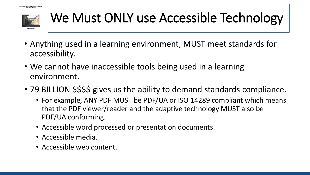

#### We Must ONLY use Accessible Technology

- Anything used in a learning environment, MUST meet standards for accessibility.
- We cannot have inaccessible tools being used in a learning environment.
- 79 BILLION \$\$\$\$ gives us the ability to demand standards compliance.
	- For example, ANY PDF MUST be PDF/UA or ISO 14289 compliant which means that the PDF viewer/reader and the adaptive technology MUST also be PDF/UA conforming.
	- Accessible word processed or presentation documents.
	- Accessible media.
	- Accessible web content.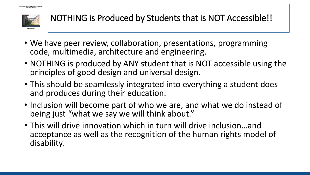

- We have peer review, collaboration, presentations, programming code, multimedia, architecture and engineering.
- NOTHING is produced by ANY student that is NOT accessible using the principles of good design and universal design.
- This should be seamlessly integrated into everything a student does and produces during their education.
- Inclusion will become part of who we are, and what we do instead of being just "what we say we will think about."
- This will drive innovation which in turn will drive inclusion…and acceptance as well as the recognition of the human rights model of disability.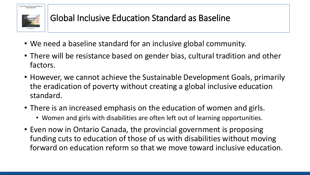

#### Global Inclusive Education Standard as Baseline

- We need a baseline standard for an inclusive global community.
- There will be resistance based on gender bias, cultural tradition and other factors.
- However, we cannot achieve the Sustainable Development Goals, primarily the eradication of poverty without creating a global inclusive education standard.
- There is an increased emphasis on the education of women and girls.
	- Women and girls with disabilities are often left out of learning opportunities.
- Even now in Ontario Canada, the provincial government is proposing funding cuts to education of those of us with disabilities without moving forward on education reform so that we move toward inclusive education.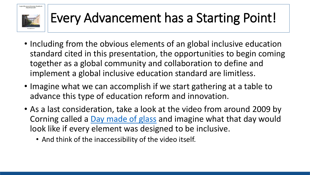

#### Every Advancement has a Starting Point!

- Including from the obvious elements of an global inclusive education standard cited in this presentation, the opportunities to begin coming together as a global community and collaboration to define and implement a global inclusive education standard are limitless.
- Imagine what we can accomplish if we start gathering at a table to advance this type of education reform and innovation.
- As a last consideration, take a look at the video from around 2009 by Corning called a [Day made of glass](https://www.youtube.com/watch?v=6Cf7IL_eZ38) and imagine what that day would look like if every element was designed to be inclusive.
	- And think of the inaccessibility of the video itself.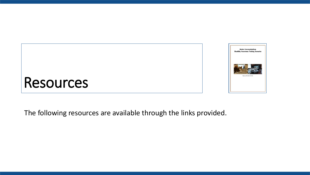



#### The following resources are available through the links provided.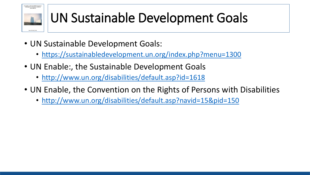

#### UN Sustainable Development Goals

- UN Sustainable Development Goals:
	- <https://sustainabledevelopment.un.org/index.php?menu=1300>
- UN Enable:, the Sustainable Development Goals
	- <http://www.un.org/disabilities/default.asp?id=1618>
- UN Enable, the Convention on the Rights of Persons with Disabilities
	- <http://www.un.org/disabilities/default.asp?navid=15&pid=150>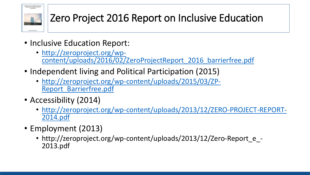

#### Zero Project 2016 Report on Inclusive Education

- Inclusive Education Report:
	- http://zeroproject.org/wp[content/uploads/2016/02/ZeroProjectReport\\_2016\\_barrierfree.pdf](http://zeroproject.org/wp-content/uploads/2016/02/ZeroProjectReport_2016_barrierfree.pdf)
- Independent living and Political Participation (2015)
	- [http://zeroproject.org/wp-content/uploads/2015/03/ZP-](http://zeroproject.org/wp-content/uploads/2015/03/ZP-Report_Barrierfree.pdf)Report\_Barrierfree.pdf
- Accessibility (2014)
	- [http://zeroproject.org/wp-content/uploads/2013/12/ZERO-PROJECT-REPORT-](http://zeroproject.org/wp-content/uploads/2013/12/ZERO-PROJECT-REPORT-2014.pdf)2014.pdf
- Employment (2013)
	- http://zeroproject.org/wp-content/uploads/2013/12/Zero-Report e -2013.pdf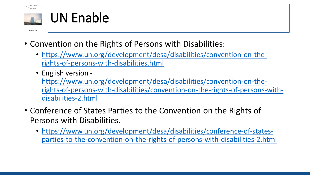

#### UN Enable

- Convention on the Rights of Persons with Disabilities:
	- [https://www.un.org/development/desa/disabilities/convention-on-the](https://www.un.org/development/desa/disabilities/convention-on-the-rights-of-persons-with-disabilities.html)rights-of-persons-with-disabilities.html
	- English version -

https://www.un.org/development/desa/disabilities/convention-on-the[rights-of-persons-with-disabilities/convention-on-the-rights-of-persons-with](https://www.un.org/development/desa/disabilities/convention-on-the-rights-of-persons-with-disabilities/convention-on-the-rights-of-persons-with-disabilities-2.html)disabilities-2.html

- Conference of States Parties to the Convention on the Rights of Persons with Disabilities.
	- [https://www.un.org/development/desa/disabilities/conference-of-states](https://www.un.org/development/desa/disabilities/conference-of-states-parties-to-the-convention-on-the-rights-of-persons-with-disabilities-2.html)parties-to-the-convention-on-the-rights-of-persons-with-disabilities-2.html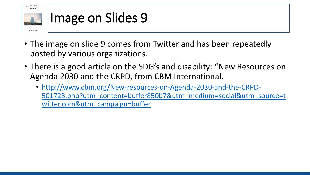

#### Image on Slides 9

- The image on slide 9 comes from Twitter and has been repeatedly posted by various organizations.
- There is a good article on the SDG's and disability: "New Resources on Agenda 2030 and the CRPD, from CBM International.
	- http://www.cbm.org/New-resources-on-Agenda-2030-and-the-CRPD-[501728.php?utm\\_content=buffer850b7&utm\\_medium=social&utm\\_source=t](http://www.cbm.org/New-resources-on-Agenda-2030-and-the-CRPD-501728.php?utm_content=buffer850b7&utm_medium=social&utm_source=twitter.com&utm_campaign=buffer) witter.com&utm\_campaign=buffer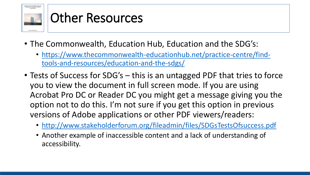

#### Other Resources

- The Commonwealth, Education Hub, Education and the SDG's:
	- [https://www.thecommonwealth-educationhub.net/practice-centre/find](https://www.thecommonwealth-educationhub.net/practice-centre/find-tools-and-resources/education-and-the-sdgs/)tools-and-resources/education-and-the-sdgs/
- Tests of Success for SDG's this is an untagged PDF that tries to force you to view the document in full screen mode. If you are using Acrobat Pro DC or Reader DC you might get a message giving you the option not to do this. I'm not sure if you get this option in previous versions of Adobe applications or other PDF viewers/readers:
	- <http://www.stakeholderforum.org/fileadmin/files/SDGsTestsOfsuccess.pdf>
	- Another example of inaccessible content and a lack of understanding of accessibility.